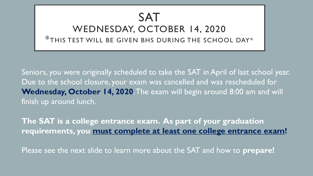### SAT WEDNESDAY, OCTOBER 14, 2020 \*THIS TEST WILL BE GIVEN BHS DURING THE SCHOOL DAY\*

Seniors, you were originally scheduled to take the SAT in April of last school year. Due to the school closure, your exam was cancelled and was rescheduled for Wednesday, October 14, 2020. The exam will begin around 8:00 am and will finish up around lunch.

**The SAT is a college entrance exam. As part of your graduation requirements, you must complete at least one college entrance exam!**

Please see the next slide to learn more about the SAT and how to **prepare!**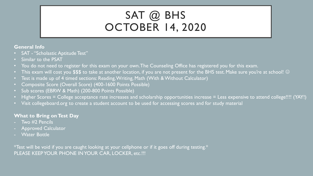## SAT @ BHS OCTOBER 14, 2020

#### **General Info**

- SAT "Scholastic Aptitude Test"
- Similar to the PSAT
- You do not need to register for this exam on your own. The Counseling Office has registered you for this exam.
- This exam will cost you \$\$\$ to take at another location, if you are not present for the BHS test. Make sure you're at school!  $\odot$
- Test is made up of 4 timed sections: Reading, Writing, Math (With & Without Calculator)
- Composite Score (Overall Score) (400-1600 Points Possible)
- Sub scores (EBRW & Math) (200-800 Points Possible)
- Higher Scores = College acceptance rate increases and scholarship opportunities increase = Less expensive to attend college!!!! (YAY!)
- Visit collegeboard.org to create a student account to be used for accessing scores and for study material

#### **What to Bring on Test Day**

- Two #2 Pencils
- Approved Calculator
- **Water Bottle**

 $*$ Test will be void if you are caught looking at your cellphone or if it goes off during testing. $*$ PLEASE KEEP YOUR PHONE IN YOUR CAR, LOCKER, etc.!!!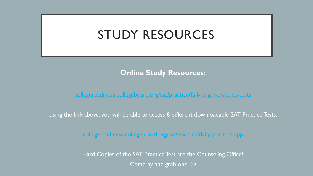## STUDY RESOURCES

#### **Online Study Resources:**

<collegereadiness.collegeboard.org/sat/practice/full-length-practice-tests>

Using the link above, you will be able to access 8 different downloadable SAT Practice Tests.

<collegereadiness.collegeboard.org/sat/practice/daily-practice-app>

Hard Copies of the SAT Practice Test are the Counseling Office! Come by and grab one!  $\odot$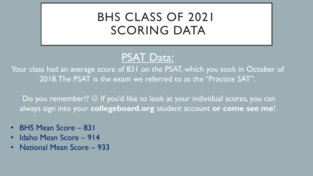# BHS CLASS OF 2021 SCORING DATA

### PSAT Data:

Your class had an average score of 831 on the PSAT, which you took in October of 2018. The PSAT is the exam we referred to as the "Practice SAT".

Do you remember!? © If you'd like to look at your individual scores, you can always sign into your **collegeboard.org** student account **or come see me**!

- BHS Mean Score 831
- Idaho Mean Score 914
- National Mean Score 933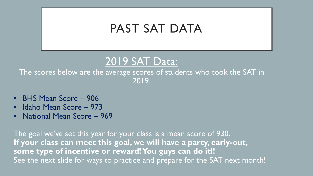## PAST SAT DATA



The scores below are the average scores of students who took the SAT in 2019.

- BHS Mean Score 906
- Idaho Mean Score 973
- National Mean Score 969

The goal we've set this year for your class is a mean score of 930. **If your class can meet this goal, we will have a party, early-out, some type of incentive or reward! You guys can do it!!** See the next slide for ways to practice and prepare for the SAT next month!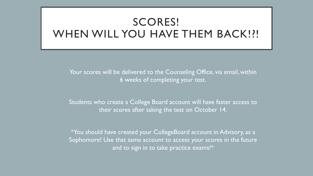### SCORES! WHEN WILL YOU HAVE THEM BACK!?!

Your scores will be delivered to the Counseling Office, via email, within 6 weeks of completing your test.

Students who create a College Board account will have faster access to their scores after taking the test on October 14.

\*You should have created your CollegeBoard account in Advisory, as a Sophomore! Use that same account to access your scores in the future and to sign in to take practice exams!\*